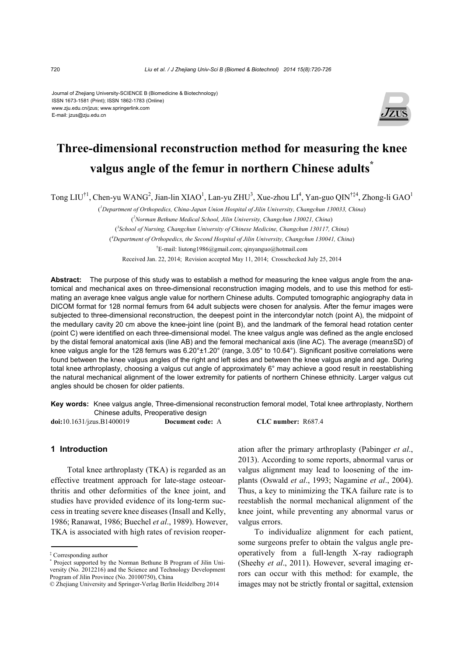#### Journal of Zhejiang University-SCIENCE B (Biomedicine & Biotechnology) ISSN 1673-1581 (Print); ISSN 1862-1783 (Online) www.zju.edu.cn/jzus; www.springerlink.com E-mail: jzus@zju.edu.cn



# **Three-dimensional reconstruction method for measuring the knee valgus angle of the femur in northern Chinese adults\***

Tong LIU<sup>†1</sup>, Chen-yu WANG<sup>2</sup>, Jian-lin XIAO<sup>1</sup>, Lan-yu ZHU<sup>3</sup>, Xue-zhou LI<sup>4</sup>, Yan-guo QIN<sup>†‡4</sup>, Zhong-li GAO<sup>1</sup>

( *1 Department of Orthopedics, China-Japan Union Hospital of Jilin University, Changchun 130033, China*) ( *2 Norman Bethune Medical School, Jilin University, Changchun 130021, China*) ( *3 School of Nursing, Changchun University of Chinese Medicine, Changchun 130117, China*) ( *4 Department of Orthopedics, the Second Hospital of Jilin University, Changchun 130041, China*) † E-mail: liutong1986@gmail.com; qinyanguo@hotmail.com

Received Jan. 22, 2014; Revision accepted May 11, 2014; Crosschecked July 25, 2014

**Abstract:** The purpose of this study was to establish a method for measuring the knee valgus angle from the anatomical and mechanical axes on three-dimensional reconstruction imaging models, and to use this method for estimating an average knee valgus angle value for northern Chinese adults. Computed tomographic angiography data in DICOM format for 128 normal femurs from 64 adult subjects were chosen for analysis. After the femur images were subjected to three-dimensional reconstruction, the deepest point in the intercondylar notch (point A), the midpoint of the medullary cavity 20 cm above the knee-joint line (point B), and the landmark of the femoral head rotation center (point C) were identified on each three-dimensional model. The knee valgus angle was defined as the angle enclosed by the distal femoral anatomical axis (line AB) and the femoral mechanical axis (line AC). The average (mean±SD) of knee valgus angle for the 128 femurs was 6.20°±1.20° (range, 3.05° to 10.64°). Significant positive correlations were found between the knee valgus angles of the right and left sides and between the knee valgus angle and age. During total knee arthroplasty, choosing a valgus cut angle of approximately 6° may achieve a good result in reestablishing the natural mechanical alignment of the lower extremity for patients of northern Chinese ethnicity. Larger valgus cut angles should be chosen for older patients.

**Key words:** Knee valgus angle, Three-dimensional reconstruction femoral model, Total knee arthroplasty, Northern Chinese adults, Preoperative design

**doi:**10.1631/jzus.B1400019 **Document code:** A **CLC number:** R687.4

### **1 Introduction**

Total knee arthroplasty (TKA) is regarded as an effective treatment approach for late-stage osteoarthritis and other deformities of the knee joint, and studies have provided evidence of its long-term success in treating severe knee diseases (Insall and Kelly, 1986; Ranawat, 1986; Buechel *et al*., 1989). However, TKA is associated with high rates of revision reoperation after the primary arthroplasty (Pabinger *et al*., 2013). According to some reports, abnormal varus or valgus alignment may lead to loosening of the implants (Oswald *et al*., 1993; Nagamine *et al*., 2004). Thus, a key to minimizing the TKA failure rate is to reestablish the normal mechanical alignment of the knee joint, while preventing any abnormal varus or valgus errors.

To individualize alignment for each patient, some surgeons prefer to obtain the valgus angle preoperatively from a full-length X-ray radiograph (Sheehy *et al*., 2011). However, several imaging errors can occur with this method: for example, the images may not be strictly frontal or sagittal, extension

<sup>‡</sup> Corresponding author

<sup>\*</sup> Project supported by the Norman Bethune B Program of Jilin University (No. 2012216) and the Science and Technology Development Program of Jilin Province (No. 20100750), China

<sup>©</sup> Zhejiang University and Springer-Verlag Berlin Heidelberg 2014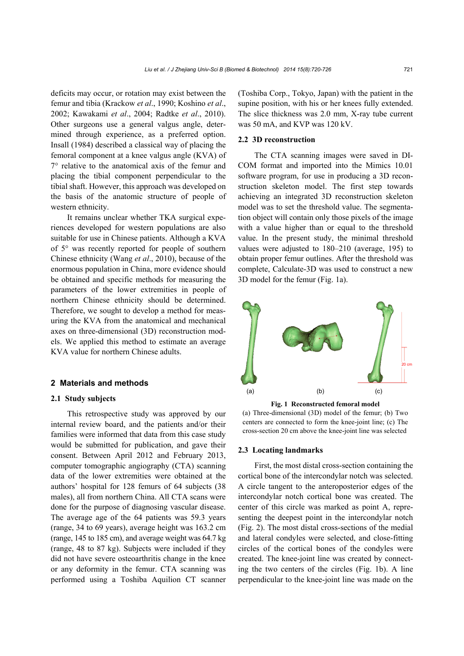deficits may occur, or rotation may exist between the femur and tibia (Krackow *et al*., 1990; Koshino *et al*., 2002; Kawakami *et al*., 2004; Radtke *et al*., 2010). Other surgeons use a general valgus angle, determined through experience, as a preferred option. Insall (1984) described a classical way of placing the femoral component at a knee valgus angle (KVA) of 7° relative to the anatomical axis of the femur and placing the tibial component perpendicular to the tibial shaft. However, this approach was developed on the basis of the anatomic structure of people of western ethnicity.

It remains unclear whether TKA surgical experiences developed for western populations are also suitable for use in Chinese patients. Although a KVA of 5° was recently reported for people of southern Chinese ethnicity (Wang *et al*., 2010), because of the enormous population in China, more evidence should be obtained and specific methods for measuring the parameters of the lower extremities in people of northern Chinese ethnicity should be determined. Therefore, we sought to develop a method for measuring the KVA from the anatomical and mechanical axes on three-dimensional (3D) reconstruction models. We applied this method to estimate an average KVA value for northern Chinese adults.

#### **2 Materials and methods**

#### **2.1 Study subjects**

This retrospective study was approved by our internal review board, and the patients and/or their families were informed that data from this case study would be submitted for publication, and gave their consent. Between April 2012 and February 2013, computer tomographic angiography (CTA) scanning data of the lower extremities were obtained at the authors' hospital for 128 femurs of 64 subjects (38 males), all from northern China. All CTA scans were done for the purpose of diagnosing vascular disease. The average age of the 64 patients was 59.3 years (range, 34 to 69 years), average height was 163.2 cm (range, 145 to 185 cm), and average weight was 64.7 kg (range, 48 to 87 kg). Subjects were included if they did not have severe osteoarthritis change in the knee or any deformity in the femur. CTA scanning was performed using a Toshiba Aquilion CT scanner

(Toshiba Corp., Tokyo, Japan) with the patient in the supine position, with his or her knees fully extended. The slice thickness was 2.0 mm, X-ray tube current was 50 mA, and KVP was 120 kV.

## **2.2 3D reconstruction**

The CTA scanning images were saved in DI-COM format and imported into the Mimics 10.01 software program, for use in producing a 3D reconstruction skeleton model. The first step towards achieving an integrated 3D reconstruction skeleton model was to set the threshold value. The segmentation object will contain only those pixels of the image with a value higher than or equal to the threshold value. In the present study, the minimal threshold values were adjusted to 180–210 (average, 195) to obtain proper femur outlines. After the threshold was complete, Calculate-3D was used to construct a new 3D model for the femur (Fig. 1a).



**Fig. 1 Reconstructed femoral model**  (a) Three-dimensional (3D) model of the femur; (b) Two centers are connected to form the knee-joint line; (c) The cross-section 20 cm above the knee-joint line was selected

#### **2.3 Locating landmarks**

First, the most distal cross-section containing the cortical bone of the intercondylar notch was selected. A circle tangent to the anteroposterior edges of the intercondylar notch cortical bone was created. The center of this circle was marked as point A, representing the deepest point in the intercondylar notch (Fig. 2). The most distal cross-sections of the medial and lateral condyles were selected, and close-fitting circles of the cortical bones of the condyles were created. The knee-joint line was created by connecting the two centers of the circles (Fig. 1b). A line perpendicular to the knee-joint line was made on the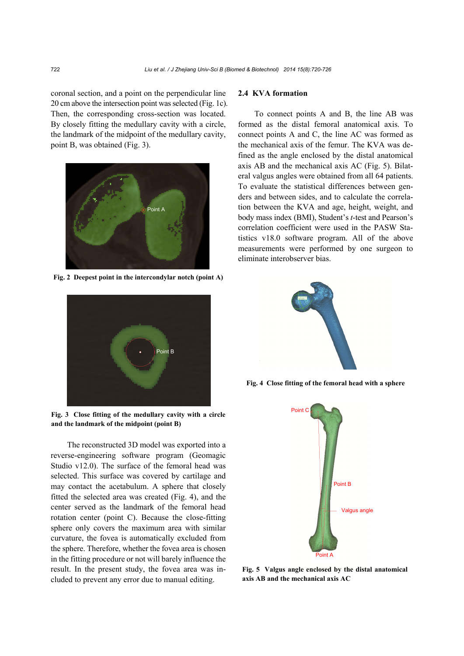coronal section, and a point on the perpendicular line 20 cm above the intersection point was selected (Fig. 1c). Then, the corresponding cross-section was located. By closely fitting the medullary cavity with a circle, the landmark of the midpoint of the medullary cavity, point B, was obtained (Fig. 3).



**Fig. 2 Deepest point in the intercondylar notch (point A)** 



**Fig. 3 Close fitting of the medullary cavity with a circle and the landmark of the midpoint (point B)** 

The reconstructed 3D model was exported into a reverse-engineering software program (Geomagic Studio v12.0). The surface of the femoral head was selected. This surface was covered by cartilage and may contact the acetabulum. A sphere that closely fitted the selected area was created (Fig. 4), and the center served as the landmark of the femoral head rotation center (point C). Because the close-fitting sphere only covers the maximum area with similar curvature, the fovea is automatically excluded from the sphere. Therefore, whether the fovea area is chosen in the fitting procedure or not will barely influence the result. In the present study, the fovea area was included to prevent any error due to manual editing.

## **2.4 KVA formation**

To connect points A and B, the line AB was formed as the distal femoral anatomical axis. To connect points A and C, the line AC was formed as the mechanical axis of the femur. The KVA was defined as the angle enclosed by the distal anatomical axis AB and the mechanical axis AC (Fig. 5). Bilateral valgus angles were obtained from all 64 patients. To evaluate the statistical differences between genders and between sides, and to calculate the correlation between the KVA and age, height, weight, and body mass index (BMI), Student's *t*-test and Pearson's correlation coefficient were used in the PASW Statistics v18.0 software program. All of the above measurements were performed by one surgeon to eliminate interobserver bias.



**Fig. 4 Close fitting of the femoral head with a sphere**



**Fig. 5 Valgus angle enclosed by the distal anatomical axis AB and the mechanical axis AC**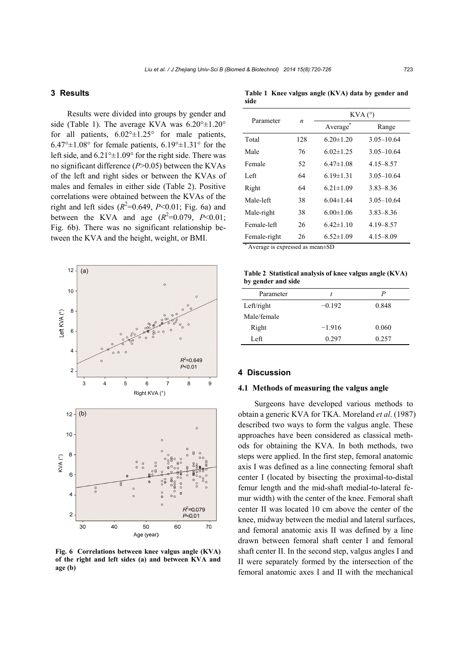# **3 Results**

Results were divided into groups by gender and side (Table 1). The average KVA was  $6.20^{\circ} \pm 1.20^{\circ}$ for all patients,  $6.02^{\circ} \pm 1.25^{\circ}$  for male patients,  $6.47^{\circ}$ ±1.08° for female patients,  $6.19^{\circ}$ ±1.31° for the left side, and  $6.21^{\circ} \pm 1.09^{\circ}$  for the right side. There was no significant difference (*P*>0.05) between the KVAs of the left and right sides or between the KVAs of males and females in either side (Table 2). Positive correlations were obtained between the KVAs of the right and left sides  $(R^2=0.649, P<0.01$ ; Fig. 6a) and between the KVA and age  $(R^2=0.079, P<0.01;$ Fig. 6b). There was no significant relationship between the KVA and the height, weight, or BMI.



**Fig. 6 Correlations between knee valgus angle (KVA) of the right and left sides (a) and between KVA and**  age (b)

**Table 1 Knee valgus angle (KVA) data by gender and side**

| Parameter                                                          | n   | KVA (°)         |                |
|--------------------------------------------------------------------|-----|-----------------|----------------|
|                                                                    |     | Average         | Range          |
| Total                                                              | 128 | $6.20 \pm 1.20$ | $3.05 - 10.64$ |
| Male                                                               | 76  | $6.02 \pm 1.25$ | $3.05 - 10.64$ |
| Female                                                             | 52  | $6.47 \pm 1.08$ | $4.15 - 8.57$  |
| Left                                                               | 64  | $6.19 \pm 1.31$ | $3.05 - 10.64$ |
| Right                                                              | 64  | $6.21 \pm 1.09$ | $3.83 - 8.36$  |
| Male-left                                                          | 38  | $6.04 \pm 1.44$ | $3.05 - 10.64$ |
| Male-right                                                         | 38  | $6.00 \pm 1.06$ | $3.83 - 8.36$  |
| Female-left                                                        | 26  | $6.42 \pm 1.10$ | $4.19 - 8.57$  |
| Female-right<br>$A$ x ano and in a supposed as magn $\overline{R}$ | 26  | $6.52 \pm 1.09$ | $4.15 - 8.09$  |

Average is expressed as mean±SD

**Table 2 Statistical analysis of knee valgus angle (KVA) by gender and side**

| Parameter   | t        | P     |
|-------------|----------|-------|
| Left/right  | $-0.192$ | 0.848 |
| Male/female |          |       |
| Right       | $-1.916$ | 0.060 |
| Left        | 0.297    | 0.257 |

# **4 Discussion**

#### **4.1 Methods of measuring the valgus angle**

Surgeons have developed various methods to obtain a generic KVA for TKA. Moreland *et al*. (1987) described two ways to form the valgus angle. These approaches have been considered as classical methods for obtaining the KVA. In both methods, two steps were applied. In the first step, femoral anatomic axis I was defined as a line connecting femoral shaft center I (located by bisecting the proximal-to-distal femur length and the mid-shaft medial-to-lateral femur width) with the center of the knee. Femoral shaft center II was located 10 cm above the center of the knee, midway between the medial and lateral surfaces, and femoral anatomic axis II was defined by a line drawn between femoral shaft center I and femoral shaft center II. In the second step, valgus angles I and II were separately formed by the intersection of the femoral anatomic axes I and II with the mechanical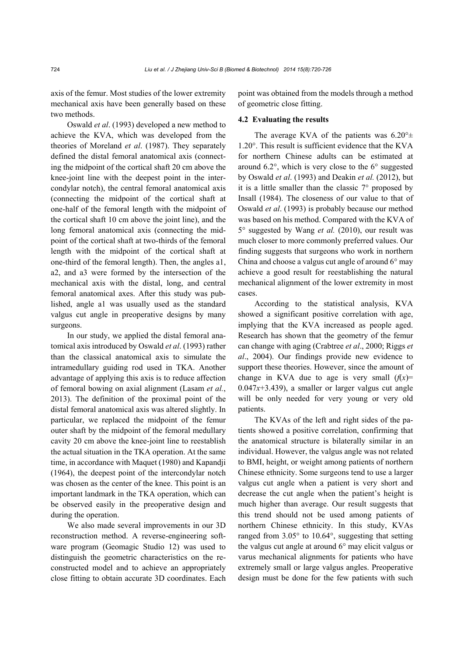axis of the femur. Most studies of the lower extremity mechanical axis have been generally based on these two methods.

Oswald *et al*. (1993) developed a new method to achieve the KVA, which was developed from the theories of Moreland *et al*. (1987). They separately defined the distal femoral anatomical axis (connecting the midpoint of the cortical shaft 20 cm above the knee-joint line with the deepest point in the intercondylar notch), the central femoral anatomical axis (connecting the midpoint of the cortical shaft at one-half of the femoral length with the midpoint of the cortical shaft 10 cm above the joint line), and the long femoral anatomical axis (connecting the midpoint of the cortical shaft at two-thirds of the femoral length with the midpoint of the cortical shaft at one-third of the femoral length). Then, the angles a1, a2, and a3 were formed by the intersection of the mechanical axis with the distal, long, and central femoral anatomical axes. After this study was published, angle a1 was usually used as the standard valgus cut angle in preoperative designs by many surgeons.

In our study, we applied the distal femoral anatomical axis introduced by Oswald *et al*. (1993) rather than the classical anatomical axis to simulate the intramedullary guiding rod used in TKA. Another advantage of applying this axis is to reduce affection of femoral bowing on axial alignment (Lasam *et al.*, 2013). The definition of the proximal point of the distal femoral anatomical axis was altered slightly. In particular, we replaced the midpoint of the femur outer shaft by the midpoint of the femoral medullary cavity 20 cm above the knee-joint line to reestablish the actual situation in the TKA operation. At the same time, in accordance with Maquet (1980) and Kapandji (1964), the deepest point of the intercondylar notch was chosen as the center of the knee. This point is an important landmark in the TKA operation, which can be observed easily in the preoperative design and during the operation.

We also made several improvements in our 3D reconstruction method. A reverse-engineering software program (Geomagic Studio 12) was used to distinguish the geometric characteristics on the reconstructed model and to achieve an appropriately close fitting to obtain accurate 3D coordinates. Each point was obtained from the models through a method of geometric close fitting.

#### **4.2 Evaluating the results**

The average KVA of the patients was  $6.20^{\circ}$ ± 1.20°. This result is sufficient evidence that the KVA for northern Chinese adults can be estimated at around  $6.2^{\circ}$ , which is very close to the  $6^{\circ}$  suggested by Oswald *et al*. (1993) and Deakin *et al.* (2012), but it is a little smaller than the classic  $7^\circ$  proposed by Insall (1984). The closeness of our value to that of Oswald *et al*. (1993) is probably because our method was based on his method. Compared with the KVA of 5° suggested by Wang *et al.* (2010), our result was much closer to more commonly preferred values. Our finding suggests that surgeons who work in northern China and choose a valgus cut angle of around  $6^{\circ}$  may achieve a good result for reestablishing the natural mechanical alignment of the lower extremity in most cases.

According to the statistical analysis, KVA showed a significant positive correlation with age, implying that the KVA increased as people aged. Research has shown that the geometry of the femur can change with aging (Crabtree *et al*., 2000; Riggs *et al*., 2004). Our findings provide new evidence to support these theories. However, since the amount of change in KVA due to age is very small  $(f(x))$ =  $0.047x+3.439$ , a smaller or larger valgus cut angle will be only needed for very young or very old patients.

The KVAs of the left and right sides of the patients showed a positive correlation, confirming that the anatomical structure is bilaterally similar in an individual. However, the valgus angle was not related to BMI, height, or weight among patients of northern Chinese ethnicity. Some surgeons tend to use a larger valgus cut angle when a patient is very short and decrease the cut angle when the patient's height is much higher than average. Our result suggests that this trend should not be used among patients of northern Chinese ethnicity. In this study, KVAs ranged from 3.05° to 10.64°, suggesting that setting the valgus cut angle at around 6° may elicit valgus or varus mechanical alignments for patients who have extremely small or large valgus angles. Preoperative design must be done for the few patients with such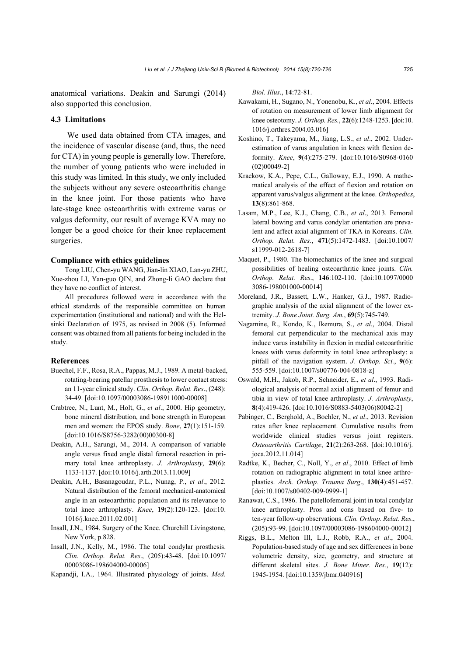anatomical variations. Deakin and Sarungi (2014) also supported this conclusion.

#### **4.3 Limitations**

We used data obtained from CTA images, and the incidence of vascular disease (and, thus, the need for CTA) in young people is generally low. Therefore, the number of young patients who were included in this study was limited. In this study, we only included the subjects without any severe osteoarthritis change in the knee joint. For those patients who have late-stage knee osteoarthritis with extreme varus or valgus deformity, our result of average KVA may no longer be a good choice for their knee replacement surgeries.

### **Compliance with ethics guidelines**

Tong LIU, Chen-yu WANG, Jian-lin XIAO, Lan-yu ZHU, Xue-zhou LI, Yan-guo QIN, and Zhong-li GAO declare that they have no conflict of interest.

All procedures followed were in accordance with the ethical standards of the responsible committee on human experimentation (institutional and national) and with the Helsinki Declaration of 1975, as revised in 2008 (5). Informed consent was obtained from all patients for being included in the study.

## **References**

- Buechel, F.F., Rosa, R.A., Pappas, M.J., 1989. A metal-backed, rotating-bearing patellar prosthesis to lower contact stress: an 11-year clinical study. *Clin. Orthop. Relat. Res*., (248): 34-49. [doi:10.1097/00003086-198911000-00008]
- Crabtree, N., Lunt, M., Holt, G., *et al*., 2000. Hip geometry, bone mineral distribution, and bone strength in European men and women: the EPOS study. *Bone*, **27**(1):151-159. [doi:10.1016/S8756-3282(00)00300-8]
- Deakin, A.H., Sarungi, M., 2014. A comparison of variable angle versus fixed angle distal femoral resection in primary total knee arthroplasty. *J. Arthroplasty*, **29**(6): 1133-1137. [doi:10.1016/j.arth.2013.11.009]
- Deakin, A.H., Basanagoudar, P.L., Nunag, P., *et al*., 2012. Natural distribution of the femoral mechanical-anatomical angle in an osteoarthritic population and its relevance to total knee arthroplasty. *Knee*, **19**(2):120-123. [doi:10. 1016/j.knee.2011.02.001]
- Insall, J.N., 1984. Surgery of the Knee. Churchill Livingstone, New York, p.828.
- Insall, J.N., Kelly, M., 1986. The total condylar prosthesis. *Clin. Orthop. Relat. Res*., (205):43-48. [doi:10.1097/ 00003086-198604000-00006]
- Kapandji, I.A., 1964. Illustrated physiology of joints. *Med.*

*Biol. Illus*., **14**:72-81.

- Kawakami, H., Sugano, N., Yonenobu, K., *et al*., 2004. Effects of rotation on measurement of lower limb alignment for knee osteotomy. *J. Orthop. Res.*, **22**(6):1248-1253. [doi:10. 1016/j.orthres.2004.03.016]
- Koshino, T., Takeyama, M., Jiang, L.S., *et al*., 2002. Underestimation of varus angulation in knees with flexion deformity. *Knee*, **9**(4):275-279. [doi:10.1016/S0968-0160 (02)00049-2]
- Krackow, K.A., Pepe, C.L., Galloway, E.J., 1990. A mathematical analysis of the effect of flexion and rotation on apparent varus/valgus alignment at the knee. *Orthopedics*, **13**(8):861-868.
- Lasam, M.P., Lee, K.J., Chang, C.B., *et al*., 2013. Femoral lateral bowing and varus condylar orientation are prevalent and affect axial alignment of TKA in Koreans. *Clin. Orthop. Relat. Res.*, **471**(5):1472-1483. [doi:10.1007/ s11999-012-2618-7]
- Maquet, P., 1980. The biomechanics of the knee and surgical possibilities of healing osteoarthritic knee joints. *Clin. Orthop. Relat. Res*., **146**:102-110. [doi:10.1097/0000 3086-198001000-00014]
- Moreland, J.R., Bassett, L.W., Hanker, G.J., 1987. Radiographic analysis of the axial alignment of the lower extremity. *J. Bone Joint. Surg. Am.*, **69**(5):745-749.
- Nagamine, R., Kondo, K., Ikemura, S., *et al*., 2004. Distal femoral cut perpendicular to the mechanical axis may induce varus instability in flexion in medial osteoarthritic knees with varus deformity in total knee arthroplasty: a pitfall of the navigation system. *J. Orthop. Sci.*, **9**(6): 555-559. [doi:10.1007/s00776-004-0818-z]
- Oswald, M.H., Jakob, R.P., Schneider, E., *et al*., 1993. Radiological analysis of normal axial alignment of femur and tibia in view of total knee arthroplasty. *J. Arthroplasty*, **8**(4):419-426. [doi:10.1016/S0883-5403(06)80042-2]
- Pabinger, C., Berghold, A., Boehler, N., *et al*., 2013. Revision rates after knee replacement. Cumulative results from worldwide clinical studies versus joint registers. *Osteoarthritis Cartilage*, **21**(2):263-268. [doi:10.1016/j. joca.2012.11.014]
- Radtke, K., Becher, C., Noll, Y., *et al*., 2010. Effect of limb rotation on radiographic alignment in total knee arthroplasties. *Arch. Orthop. Trauma Surg*., **130**(4):451-457. [doi:10.1007/s00402-009-0999-1]
- Ranawat, C.S., 1986. The patellofemoral joint in total condylar knee arthroplasty. Pros and cons based on five- to ten-year follow-up observations. *Clin. Orthop. Relat. Res*., (205):93-99. [doi:10.1097/00003086-198604000-00012]
- Riggs, B.L., Melton III, L.J., Robb, R.A., *et al*., 2004. Population-based study of age and sex differences in bone volumetric density, size, geometry, and structure at different skeletal sites. *J. Bone Miner. Res.*, **19**(12): 1945-1954. [doi:10.1359/jbmr.040916]